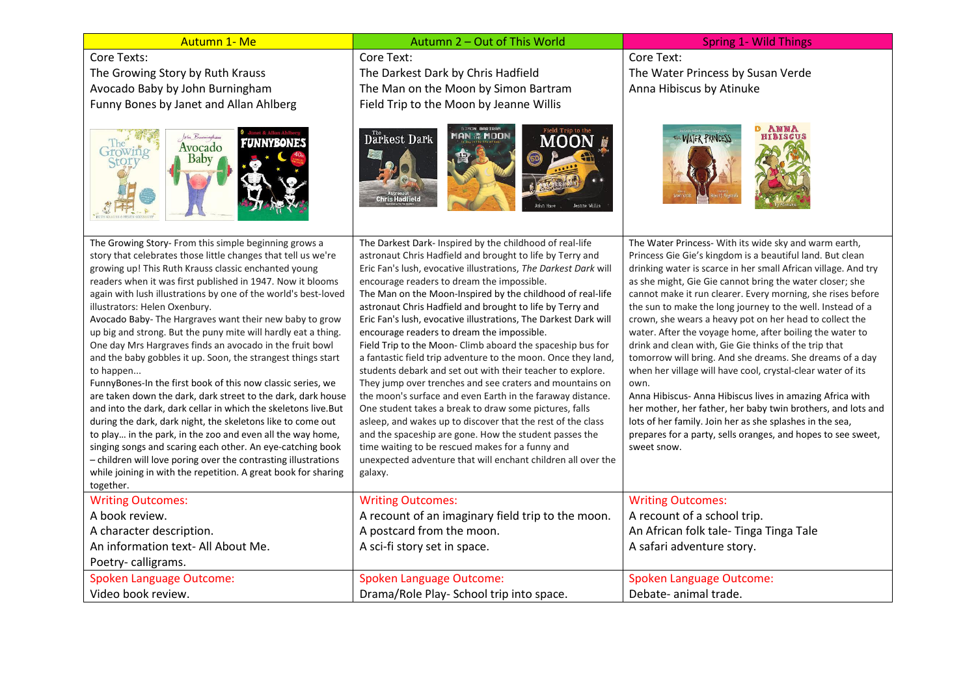| Autumn 1- Me                                                                                                              | Autumn 2 - Out of This World                                                                                                | <b>Spring 1- Wild Things</b>                                                                                               |
|---------------------------------------------------------------------------------------------------------------------------|-----------------------------------------------------------------------------------------------------------------------------|----------------------------------------------------------------------------------------------------------------------------|
| Core Texts:                                                                                                               | Core Text:                                                                                                                  | Core Text:                                                                                                                 |
| The Growing Story by Ruth Krauss                                                                                          | The Darkest Dark by Chris Hadfield                                                                                          | The Water Princess by Susan Verde                                                                                          |
| Avocado Baby by John Burningham                                                                                           | The Man on the Moon by Simon Bartram                                                                                        | Anna Hibiscus by Atinuke                                                                                                   |
| Funny Bones by Janet and Allan Ahlberg                                                                                    | Field Trip to the Moon by Jeanne Willis                                                                                     |                                                                                                                            |
| <b>FUNNYBONES</b><br>Avocado<br><b>Baby</b>                                                                               | Darkest Dark<br>AN NE MOON<br>Chris Hadfield                                                                                | <b>ANNA</b><br><b>WATER PRINCESS</b><br>HIBISCUS                                                                           |
| The Growing Story- From this simple beginning grows a                                                                     | The Darkest Dark- Inspired by the childhood of real-life                                                                    | The Water Princess- With its wide sky and warm earth,                                                                      |
| story that celebrates those little changes that tell us we're                                                             | astronaut Chris Hadfield and brought to life by Terry and                                                                   | Princess Gie Gie's kingdom is a beautiful land. But clean                                                                  |
| growing up! This Ruth Krauss classic enchanted young<br>readers when it was first published in 1947. Now it blooms        | Eric Fan's lush, evocative illustrations, The Darkest Dark will<br>encourage readers to dream the impossible.               | drinking water is scarce in her small African village. And try<br>as she might, Gie Gie cannot bring the water closer; she |
| again with lush illustrations by one of the world's best-loved                                                            | The Man on the Moon-Inspired by the childhood of real-life                                                                  | cannot make it run clearer. Every morning, she rises before                                                                |
| illustrators: Helen Oxenbury.                                                                                             | astronaut Chris Hadfield and brought to life by Terry and                                                                   | the sun to make the long journey to the well. Instead of a                                                                 |
| Avocado Baby- The Hargraves want their new baby to grow                                                                   | Eric Fan's lush, evocative illustrations, The Darkest Dark will                                                             | crown, she wears a heavy pot on her head to collect the                                                                    |
| up big and strong. But the puny mite will hardly eat a thing.                                                             | encourage readers to dream the impossible.                                                                                  | water. After the voyage home, after boiling the water to                                                                   |
| One day Mrs Hargraves finds an avocado in the fruit bowl<br>and the baby gobbles it up. Soon, the strangest things start  | Field Trip to the Moon- Climb aboard the spaceship bus for<br>a fantastic field trip adventure to the moon. Once they land, | drink and clean with, Gie Gie thinks of the trip that<br>tomorrow will bring. And she dreams. She dreams of a day          |
| to happen                                                                                                                 | students debark and set out with their teacher to explore.                                                                  | when her village will have cool, crystal-clear water of its                                                                |
| FunnyBones-In the first book of this now classic series, we                                                               | They jump over trenches and see craters and mountains on                                                                    | own.                                                                                                                       |
| are taken down the dark, dark street to the dark, dark house                                                              | the moon's surface and even Earth in the faraway distance.                                                                  | Anna Hibiscus- Anna Hibiscus lives in amazing Africa with                                                                  |
| and into the dark, dark cellar in which the skeletons live.But                                                            | One student takes a break to draw some pictures, falls                                                                      | her mother, her father, her baby twin brothers, and lots and                                                               |
| during the dark, dark night, the skeletons like to come out<br>to play in the park, in the zoo and even all the way home, | asleep, and wakes up to discover that the rest of the class<br>and the spaceship are gone. How the student passes the       | lots of her family. Join her as she splashes in the sea,<br>prepares for a party, sells oranges, and hopes to see sweet,   |
| singing songs and scaring each other. An eye-catching book                                                                | time waiting to be rescued makes for a funny and                                                                            | sweet snow.                                                                                                                |
| - children will love poring over the contrasting illustrations                                                            | unexpected adventure that will enchant children all over the                                                                |                                                                                                                            |
| while joining in with the repetition. A great book for sharing                                                            | galaxy.                                                                                                                     |                                                                                                                            |
| together.                                                                                                                 |                                                                                                                             |                                                                                                                            |
| <b>Writing Outcomes:</b>                                                                                                  | <b>Writing Outcomes:</b>                                                                                                    | <b>Writing Outcomes:</b>                                                                                                   |
| A book review.                                                                                                            | A recount of an imaginary field trip to the moon.                                                                           | A recount of a school trip.                                                                                                |
| A character description.                                                                                                  | A postcard from the moon.                                                                                                   | An African folk tale- Tinga Tinga Tale                                                                                     |
| An information text- All About Me.                                                                                        | A sci-fi story set in space.                                                                                                | A safari adventure story.                                                                                                  |
| Poetry-calligrams.                                                                                                        |                                                                                                                             |                                                                                                                            |
| <b>Spoken Language Outcome:</b>                                                                                           | <b>Spoken Language Outcome:</b>                                                                                             | <b>Spoken Language Outcome:</b>                                                                                            |
| Video book review.                                                                                                        | Drama/Role Play- School trip into space.                                                                                    | Debate- animal trade.                                                                                                      |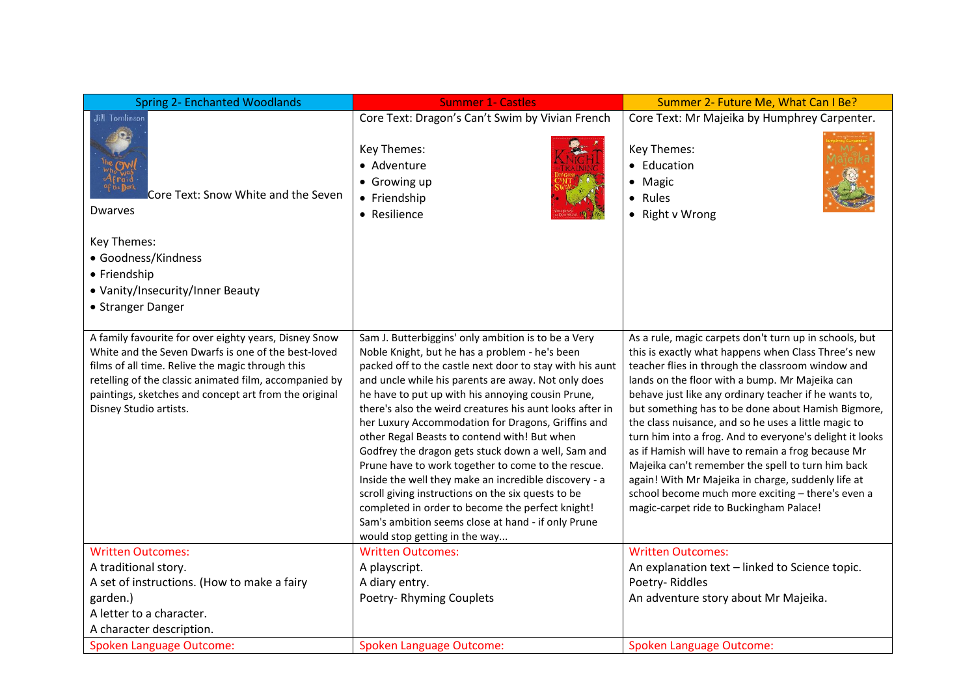| <b>Spring 2- Enchanted Woodlands</b>                                                                                                                                                                                                                                                                          | <b>Summer 1- Castles</b>                                                                                                                                                                                                                                                                                                                                                                                                                                                                                                                                                                                                                                                                                                                                                                                              | Summer 2- Future Me, What Can I Be?                                                                                                                                                                                                                                                                                                                                                                                                                                                                                                                                                                                                                                                                                      |
|---------------------------------------------------------------------------------------------------------------------------------------------------------------------------------------------------------------------------------------------------------------------------------------------------------------|-----------------------------------------------------------------------------------------------------------------------------------------------------------------------------------------------------------------------------------------------------------------------------------------------------------------------------------------------------------------------------------------------------------------------------------------------------------------------------------------------------------------------------------------------------------------------------------------------------------------------------------------------------------------------------------------------------------------------------------------------------------------------------------------------------------------------|--------------------------------------------------------------------------------------------------------------------------------------------------------------------------------------------------------------------------------------------------------------------------------------------------------------------------------------------------------------------------------------------------------------------------------------------------------------------------------------------------------------------------------------------------------------------------------------------------------------------------------------------------------------------------------------------------------------------------|
| Jill Tomlinson                                                                                                                                                                                                                                                                                                | Core Text: Dragon's Can't Swim by Vivian French                                                                                                                                                                                                                                                                                                                                                                                                                                                                                                                                                                                                                                                                                                                                                                       | Core Text: Mr Majeika by Humphrey Carpenter.                                                                                                                                                                                                                                                                                                                                                                                                                                                                                                                                                                                                                                                                             |
| Core Text: Snow White and the Seven<br>Dwarves                                                                                                                                                                                                                                                                | Key Themes:<br>• Adventure<br>• Growing up<br>• Friendship<br>• Resilience                                                                                                                                                                                                                                                                                                                                                                                                                                                                                                                                                                                                                                                                                                                                            | Key Themes:<br>• Education<br>• Magic<br>• Rules<br>• Right v Wrong                                                                                                                                                                                                                                                                                                                                                                                                                                                                                                                                                                                                                                                      |
| Key Themes:<br>• Goodness/Kindness<br>• Friendship<br>• Vanity/Insecurity/Inner Beauty<br>• Stranger Danger                                                                                                                                                                                                   |                                                                                                                                                                                                                                                                                                                                                                                                                                                                                                                                                                                                                                                                                                                                                                                                                       |                                                                                                                                                                                                                                                                                                                                                                                                                                                                                                                                                                                                                                                                                                                          |
| A family favourite for over eighty years, Disney Snow<br>White and the Seven Dwarfs is one of the best-loved<br>films of all time. Relive the magic through this<br>retelling of the classic animated film, accompanied by<br>paintings, sketches and concept art from the original<br>Disney Studio artists. | Sam J. Butterbiggins' only ambition is to be a Very<br>Noble Knight, but he has a problem - he's been<br>packed off to the castle next door to stay with his aunt<br>and uncle while his parents are away. Not only does<br>he have to put up with his annoying cousin Prune,<br>there's also the weird creatures his aunt looks after in<br>her Luxury Accommodation for Dragons, Griffins and<br>other Regal Beasts to contend with! But when<br>Godfrey the dragon gets stuck down a well, Sam and<br>Prune have to work together to come to the rescue.<br>Inside the well they make an incredible discovery - a<br>scroll giving instructions on the six quests to be<br>completed in order to become the perfect knight!<br>Sam's ambition seems close at hand - if only Prune<br>would stop getting in the way | As a rule, magic carpets don't turn up in schools, but<br>this is exactly what happens when Class Three's new<br>teacher flies in through the classroom window and<br>lands on the floor with a bump. Mr Majeika can<br>behave just like any ordinary teacher if he wants to,<br>but something has to be done about Hamish Bigmore,<br>the class nuisance, and so he uses a little magic to<br>turn him into a frog. And to everyone's delight it looks<br>as if Hamish will have to remain a frog because Mr<br>Majeika can't remember the spell to turn him back<br>again! With Mr Majeika in charge, suddenly life at<br>school become much more exciting - there's even a<br>magic-carpet ride to Buckingham Palace! |
| <b>Written Outcomes:</b>                                                                                                                                                                                                                                                                                      | <b>Written Outcomes:</b>                                                                                                                                                                                                                                                                                                                                                                                                                                                                                                                                                                                                                                                                                                                                                                                              | <b>Written Outcomes:</b>                                                                                                                                                                                                                                                                                                                                                                                                                                                                                                                                                                                                                                                                                                 |
| A traditional story.                                                                                                                                                                                                                                                                                          | A playscript.                                                                                                                                                                                                                                                                                                                                                                                                                                                                                                                                                                                                                                                                                                                                                                                                         | An explanation text - linked to Science topic.                                                                                                                                                                                                                                                                                                                                                                                                                                                                                                                                                                                                                                                                           |
| A set of instructions. (How to make a fairy                                                                                                                                                                                                                                                                   | A diary entry.                                                                                                                                                                                                                                                                                                                                                                                                                                                                                                                                                                                                                                                                                                                                                                                                        | Poetry-Riddles                                                                                                                                                                                                                                                                                                                                                                                                                                                                                                                                                                                                                                                                                                           |
| garden.)                                                                                                                                                                                                                                                                                                      | Poetry-Rhyming Couplets                                                                                                                                                                                                                                                                                                                                                                                                                                                                                                                                                                                                                                                                                                                                                                                               | An adventure story about Mr Majeika.                                                                                                                                                                                                                                                                                                                                                                                                                                                                                                                                                                                                                                                                                     |
| A letter to a character.                                                                                                                                                                                                                                                                                      |                                                                                                                                                                                                                                                                                                                                                                                                                                                                                                                                                                                                                                                                                                                                                                                                                       |                                                                                                                                                                                                                                                                                                                                                                                                                                                                                                                                                                                                                                                                                                                          |
| A character description.                                                                                                                                                                                                                                                                                      |                                                                                                                                                                                                                                                                                                                                                                                                                                                                                                                                                                                                                                                                                                                                                                                                                       |                                                                                                                                                                                                                                                                                                                                                                                                                                                                                                                                                                                                                                                                                                                          |
| <b>Spoken Language Outcome:</b>                                                                                                                                                                                                                                                                               | <b>Spoken Language Outcome:</b>                                                                                                                                                                                                                                                                                                                                                                                                                                                                                                                                                                                                                                                                                                                                                                                       | <b>Spoken Language Outcome:</b>                                                                                                                                                                                                                                                                                                                                                                                                                                                                                                                                                                                                                                                                                          |